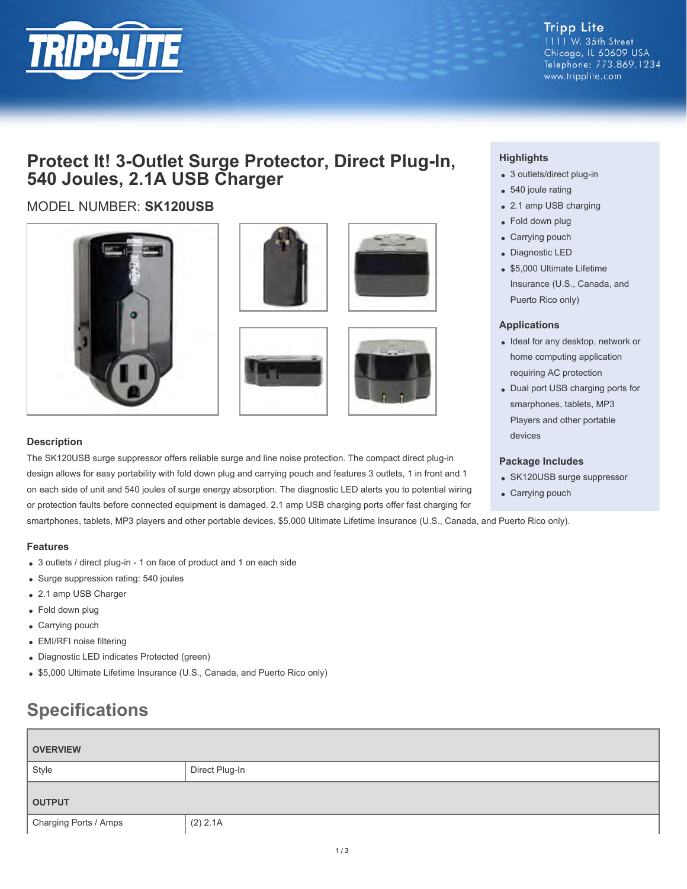

**Tripp Lite** 1111 W. 35th Street Chicago, IL 60609 USA Telephone: 773.869.1234 www.tripplite.com

# **Protect It! 3-Outlet Surge Protector, Direct Plug-In, 540 Joules, 2.1A USB Charger**

# MODEL NUMBER: **SK120USB**









### **Description**

The SK120USB surge suppressor offers reliable surge and line noise protection. The compact direct plug-in design allows for easy portability with fold down plug and carrying pouch and features 3 outlets, 1 in front and 1 on each side of unit and 540 joules of surge energy absorption. The diagnostic LED alerts you to potential wiring or protection faults before connected equipment is damaged. 2.1 amp USB charging ports offer fast charging for

smartphones, tablets, MP3 players and other portable devices. \$5,000 Ultimate Lifetime Insurance (U.S., Canada, and Puerto Rico only).

## **Features**

- 3 outlets / direct plug-in 1 on face of product and 1 on each side
- Surge suppression rating: 540 joules
- 2.1 amp USB Charger
- Fold down plug
- Carrying pouch
- EMI/RFI noise filtering
- Diagnostic LED indicates Protected (green)
- \$5,000 Ultimate Lifetime Insurance (U.S., Canada, and Puerto Rico only)

# **Specifications**

| <b>OVERVIEW</b>       |                |  |
|-----------------------|----------------|--|
| Style                 | Direct Plug-In |  |
| <b>OUTPUT</b>         |                |  |
| Charging Ports / Amps | (2) 2.1A       |  |

# **Highlights**

- 3 outlets/direct plug-in
- 540 joule rating
- 2.1 amp USB charging
- Fold down plug
- Carrying pouch
- Diagnostic LED
- \$5,000 Ultimate Lifetime Insurance (U.S., Canada, and Puerto Rico only)

### **Applications**

- Ideal for any desktop, network or home computing application requiring AC protection
- Dual port USB charging ports for smarphones, tablets, MP3 Players and other portable devices

### **Package Includes**

- SK120USB surge suppressor
- Carrying pouch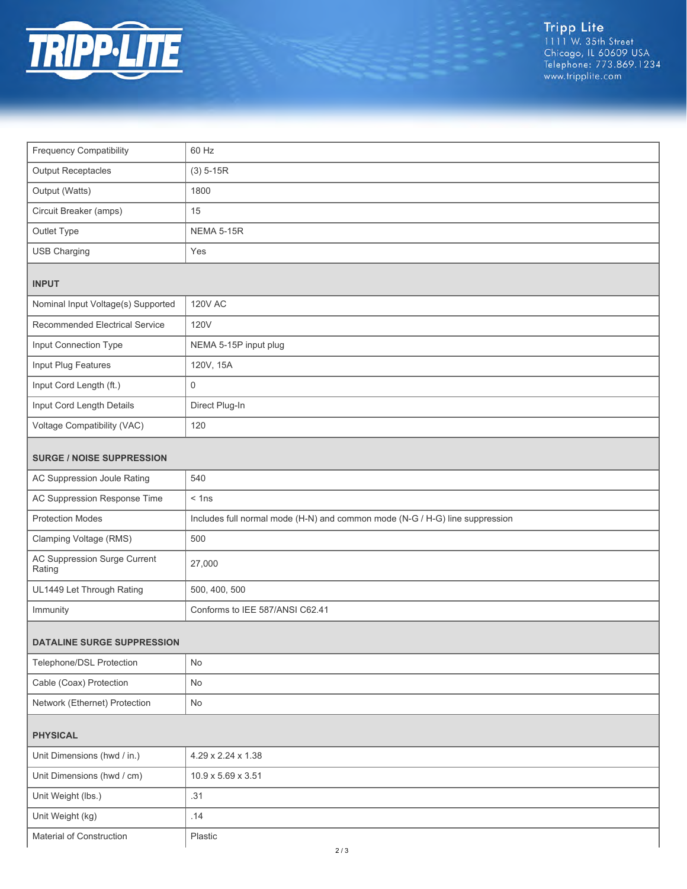

Tripp Lite<br>1111 W. 35th Street<br>Chicago, IL 60609 USA<br>Telephone: 773.869.1234<br>www.tripplite.com

| <b>Frequency Compatibility</b>         | 60 Hz                                                                        |  |
|----------------------------------------|------------------------------------------------------------------------------|--|
| <b>Output Receptacles</b>              | $(3) 5 - 15R$                                                                |  |
| Output (Watts)                         | 1800                                                                         |  |
| Circuit Breaker (amps)                 | 15                                                                           |  |
| Outlet Type                            | <b>NEMA 5-15R</b>                                                            |  |
| <b>USB Charging</b>                    | Yes                                                                          |  |
| <b>INPUT</b>                           |                                                                              |  |
| Nominal Input Voltage(s) Supported     | <b>120V AC</b>                                                               |  |
| Recommended Electrical Service         | 120V                                                                         |  |
| Input Connection Type                  | NEMA 5-15P input plug                                                        |  |
| Input Plug Features                    | 120V, 15A                                                                    |  |
| Input Cord Length (ft.)                | $\mathbf 0$                                                                  |  |
| Input Cord Length Details              | Direct Plug-In                                                               |  |
| Voltage Compatibility (VAC)            | 120                                                                          |  |
| <b>SURGE / NOISE SUPPRESSION</b>       |                                                                              |  |
| AC Suppression Joule Rating            | 540                                                                          |  |
| AC Suppression Response Time           | $<$ 1ns                                                                      |  |
| <b>Protection Modes</b>                | Includes full normal mode (H-N) and common mode (N-G / H-G) line suppression |  |
| Clamping Voltage (RMS)                 | 500                                                                          |  |
| AC Suppression Surge Current<br>Rating | 27,000                                                                       |  |
| UL1449 Let Through Rating              | 500, 400, 500                                                                |  |
| Immunity                               | Conforms to IEE 587/ANSI C62.41                                              |  |
| <b>DATALINE SURGE SUPPRESSION</b>      |                                                                              |  |
| Telephone/DSL Protection               | No                                                                           |  |
| Cable (Coax) Protection                | No                                                                           |  |
| Network (Ethernet) Protection          | No                                                                           |  |
| <b>PHYSICAL</b>                        |                                                                              |  |
| Unit Dimensions (hwd / in.)            | 4.29 x 2.24 x 1.38                                                           |  |
| Unit Dimensions (hwd / cm)             | 10.9 x 5.69 x 3.51                                                           |  |
| Unit Weight (lbs.)                     | .31                                                                          |  |
| Unit Weight (kg)                       | .14                                                                          |  |
| Material of Construction               | Plastic                                                                      |  |